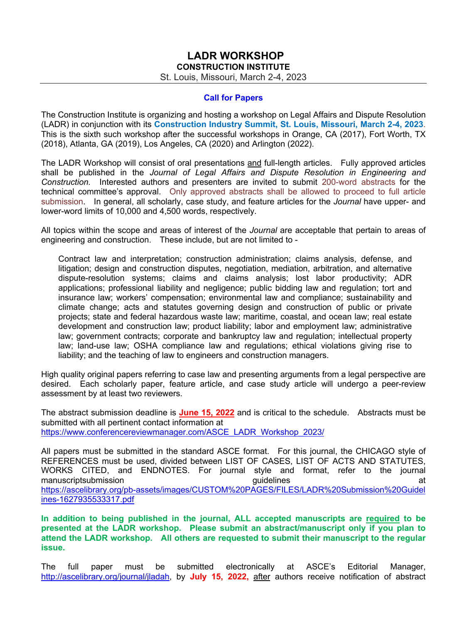## **LADR WORKSHOP CONSTRUCTION INSTITUTE**

St. Louis, Missouri, March 2-4, 2023

## **Call for Papers**

The Construction Institute is organizing and hosting a workshop on Legal Affairs and Dispute Resolution (LADR) in conjunction with its **Construction Industry Summit, St. Louis, Missouri, March 2-4, 2023**. This is the sixth such workshop after the successful workshops in Orange, CA (2017), Fort Worth, TX (2018), Atlanta, GA (2019), Los Angeles, CA (2020) and Arlington (2022).

The LADR Workshop will consist of oral presentations and full-length articles. Fully approved articles shall be published in the *Journal of Legal Affairs and Dispute Resolution in Engineering and Construction.* Interested authors and presenters are invited to submit 200-word abstracts for the technical committee's approval. Only approved abstracts shall be allowed to proceed to full article submission. In general, all scholarly, case study, and feature articles for the *Journal* have upper- and lower-word limits of 10,000 and 4,500 words, respectively.

All topics within the scope and areas of interest of the *Journal* are acceptable that pertain to areas of engineering and construction. These include, but are not limited to -

Contract law and interpretation; construction administration; claims analysis, defense, and litigation; design and construction disputes, negotiation, mediation, arbitration, and alternative dispute-resolution systems; claims and claims analysis; lost labor productivity; ADR applications; professional liability and negligence; public bidding law and regulation; tort and insurance law; workers' compensation; environmental law and compliance; sustainability and climate change; acts and statutes governing design and construction of public or private projects; state and federal hazardous waste law; maritime, coastal, and ocean law; real estate development and construction law; product liability; labor and employment law; administrative law; government contracts; corporate and bankruptcy law and regulation; intellectual property law; land-use law; OSHA compliance law and regulations; ethical violations giving rise to liability; and the teaching of law to engineers and construction managers.

High quality original papers referring to case law and presenting arguments from a legal perspective are desired. Each scholarly paper, feature article, and case study article will undergo a peer-review assessment by at least two reviewers.

The abstract submission deadline is **June 15, 2022** and is critical to the schedule. Abstracts must be submitted with all pertinent contact information at https://www.conferencereviewmanager.com/ASCE\_LADR\_Workshop\_2023/

All papers must be submitted in the standard ASCE format. For this journal, the CHICAGO style of REFERENCES must be used, divided between LIST OF CASES, LIST OF ACTS AND STATUTES, WORKS CITED, and ENDNOTES. For journal style and format, refer to the journal manuscriptsubmission and the control of the control of the quidelines at the control of the control of the control of https://ascelibrary.org/pb-assets/images/CUSTOM%20PAGES/FILES/LADR%20Submission%20Guidel ines-1627935533317.pdf

**In addition to being published in the journal, ALL accepted manuscripts are required to be presented at the LADR workshop. Please submit an abstract/manuscript only if you plan to attend the LADR workshop. All others are requested to submit their manuscript to the regular issue.** 

The full paper must be submitted electronically at ASCE's Editorial Manager, http://ascelibrary.org/journal/jladah, by **July 15, 2022,** after authors receive notification of abstract